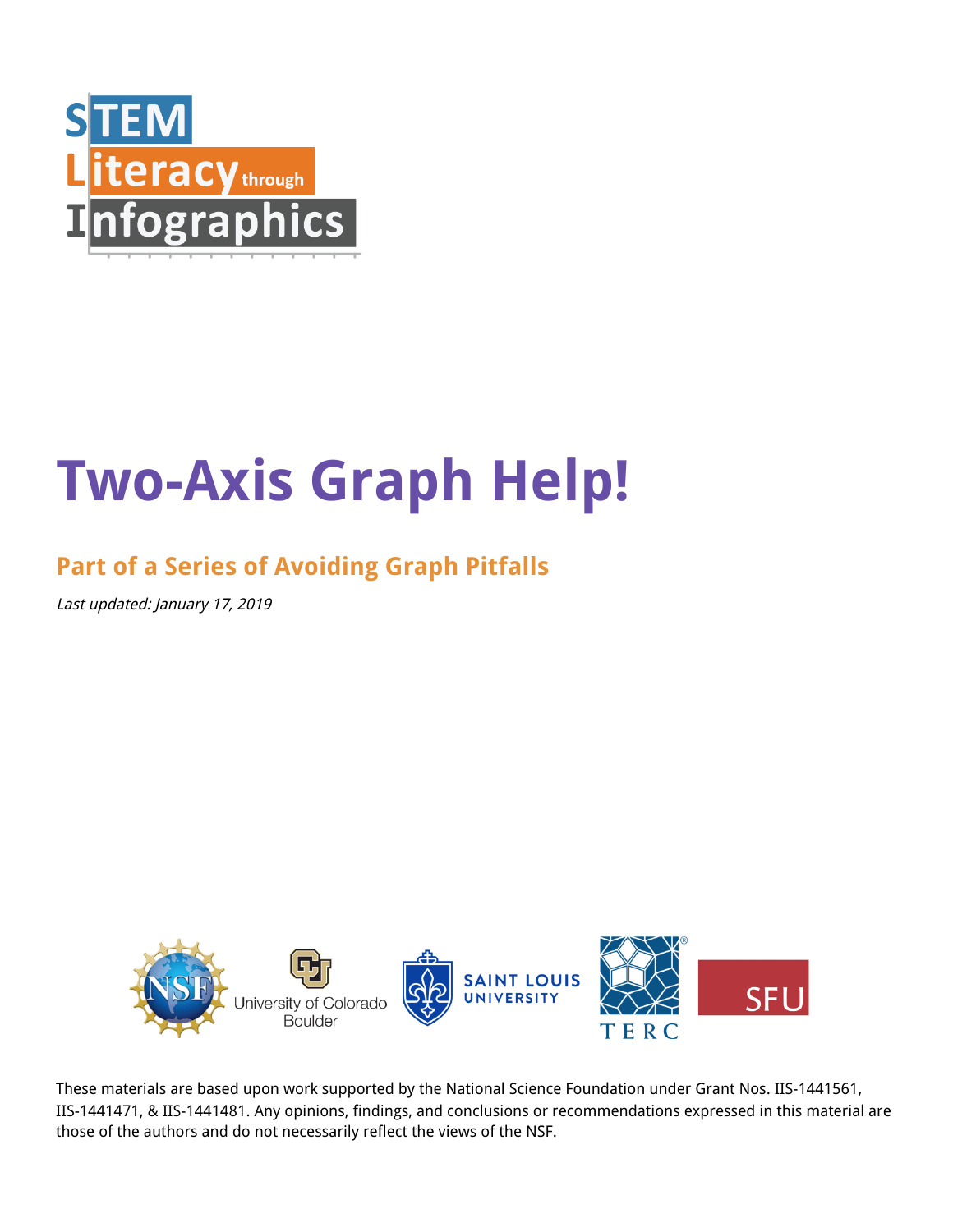

# **Two-Axis Graph Help!**

## **Part of a Series of Avoiding Graph Pitfalls**

Last updated: January 17, 2019



These materials are based upon work supported by the National Science Foundation under Grant Nos. IIS-1441561, IIS-1441471, & IIS-1441481. Any opinions, findings, and conclusions or recommendations expressed in this material are those of the authors and do not necessarily reflect the views of the NSF.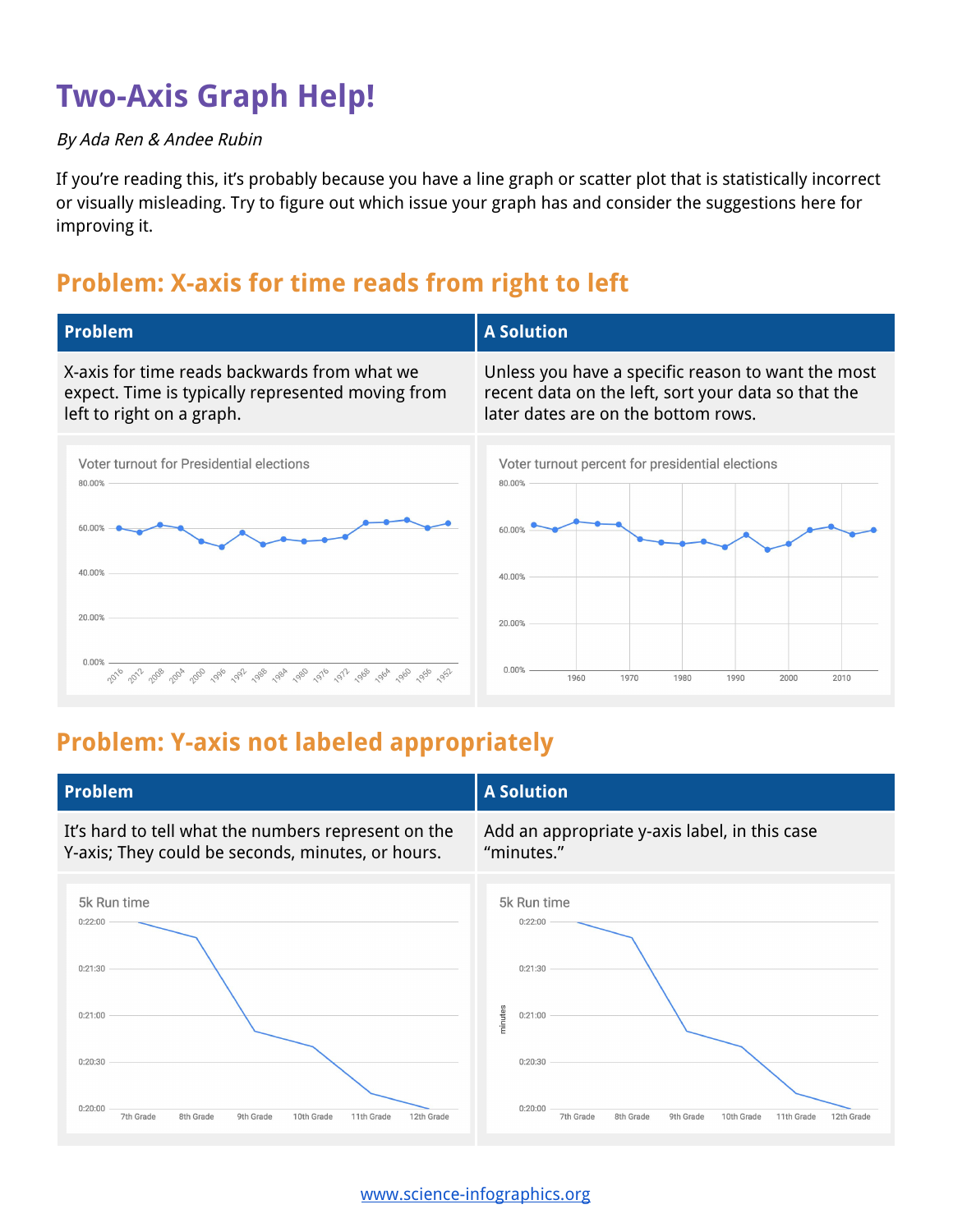# **Two-Axis Graph Help!**

#### By Ada Ren & Andee Rubin

If you're reading this, it's probably because you have a line graph or scatter plot that is statistically incorrect or visually misleading. Try to figure out which issue your graph has and consider the suggestions here for improving it.

#### **Problem: X-axis for time reads from right to left**



#### **Problem: Y-axis not labeled appropriately**



[www.science-infographics.org](http://www.science-infographics.org/)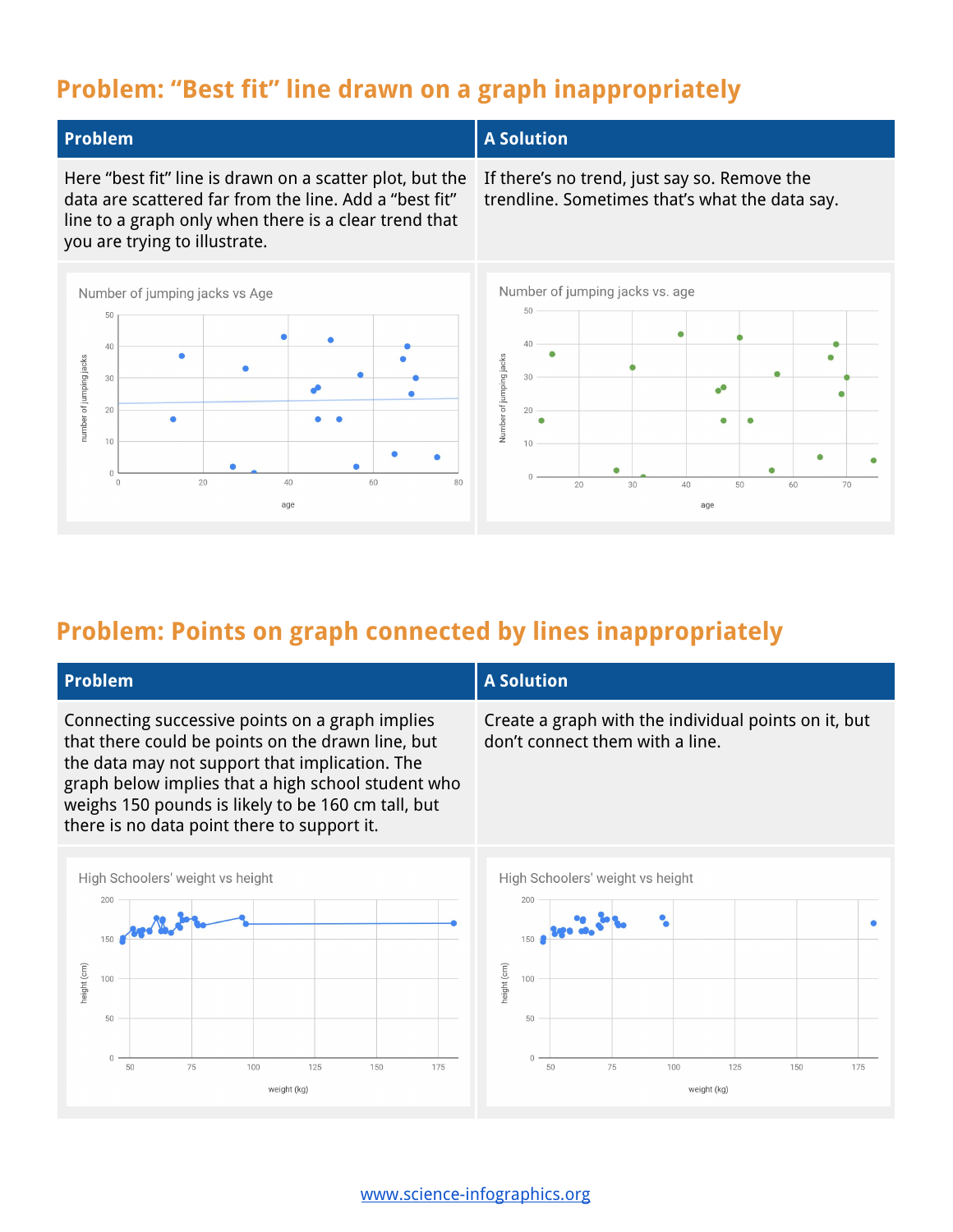#### **Problem: "Best fit" line drawn on a graph inappropriately**



Here "best fit" line is drawn on a scatter plot, but the

#### **Problem A A** Solution

If there's no trend, just say so. Remove the trendline. Sometimes that's what the data say.



#### **Problem: Points on graph connected by lines inappropriately**

| <b>Problem</b>                                                                                                                                                                                                                                                                                                    |                                  |    |    |     |     |     |     | <b>A Solution</b> |                                                                                         |    |    |     |  |     |     |  |     |  |
|-------------------------------------------------------------------------------------------------------------------------------------------------------------------------------------------------------------------------------------------------------------------------------------------------------------------|----------------------------------|----|----|-----|-----|-----|-----|-------------------|-----------------------------------------------------------------------------------------|----|----|-----|--|-----|-----|--|-----|--|
| Connecting successive points on a graph implies<br>that there could be points on the drawn line, but<br>the data may not support that implication. The<br>graph below implies that a high school student who<br>weighs 150 pounds is likely to be 160 cm tall, but<br>there is no data point there to support it. |                                  |    |    |     |     |     |     |                   | Create a graph with the individual points on it, but<br>don't connect them with a line. |    |    |     |  |     |     |  |     |  |
|                                                                                                                                                                                                                                                                                                                   | High Schoolers' weight vs height |    |    |     |     |     |     |                   | High Schoolers' weight vs height                                                        |    |    |     |  |     |     |  |     |  |
|                                                                                                                                                                                                                                                                                                                   | 200                              |    |    |     |     |     |     |                   | 200                                                                                     |    |    |     |  |     |     |  |     |  |
|                                                                                                                                                                                                                                                                                                                   |                                  |    |    |     |     |     |     |                   | 150                                                                                     |    |    |     |  |     |     |  |     |  |
|                                                                                                                                                                                                                                                                                                                   | 100                              |    |    |     |     |     |     |                   | 100                                                                                     |    |    |     |  |     |     |  |     |  |
| neight (cm)                                                                                                                                                                                                                                                                                                       |                                  |    |    |     |     |     |     | height (cm)       |                                                                                         |    |    |     |  |     |     |  |     |  |
|                                                                                                                                                                                                                                                                                                                   | 50                               |    |    |     |     |     |     |                   | 50                                                                                      |    |    |     |  |     |     |  |     |  |
|                                                                                                                                                                                                                                                                                                                   | $\cap$                           | 50 | 75 | 100 | 125 | 150 | 175 |                   |                                                                                         | 50 | 75 | 100 |  | 125 | 150 |  | 175 |  |
|                                                                                                                                                                                                                                                                                                                   | weight (kg)                      |    |    |     |     |     |     | weight (kg)       |                                                                                         |    |    |     |  |     |     |  |     |  |